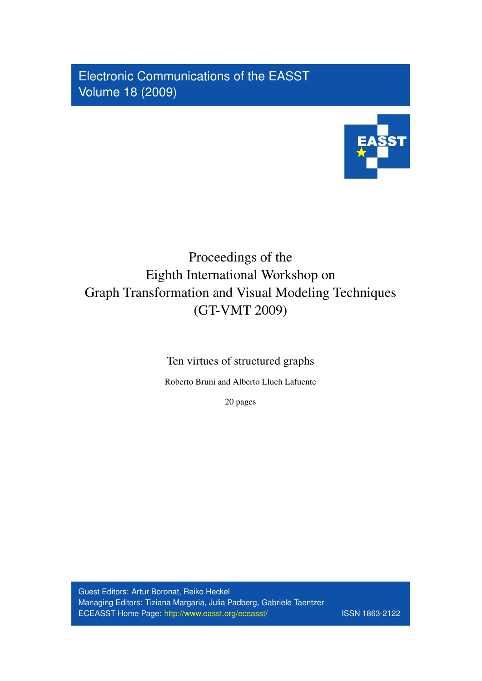Electronic Communications of the EASST Volume 18 (2009)



# Proceedings of the Eighth International Workshop on Graph Transformation and Visual Modeling Techniques (GT-VMT 2009)

Ten virtues of structured graphs

Roberto Bruni and Alberto Lluch Lafuente

20 pages

Guest Editors: Artur Boronat, Reiko Heckel Managing Editors: Tiziana Margaria, Julia Padberg, Gabriele Taentzer ECEASST Home Page: <http://www.easst.org/eceasst/> ISSN 1863-2122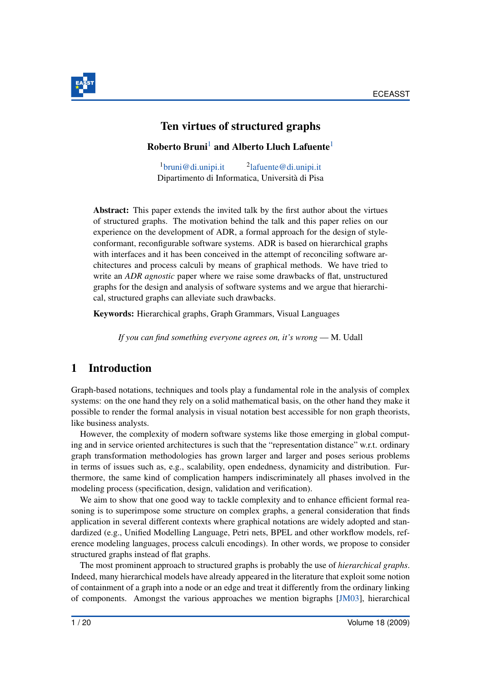

# Ten virtues of structured graphs

#### Roberto Bruni<sup>[1](#page-1-0)</sup> and Alberto Lluch Lafuente<sup>1</sup>

 $1$ [bruni@di.unipi.it](mailto:bruni@di.unipi.it) [lafuente@di.unipi.it](mailto:lafuente@di.unipi.it) Dipartimento di Informatica, Universita di Pisa `

<span id="page-1-0"></span>Abstract: This paper extends the invited talk by the first author about the virtues of structured graphs. The motivation behind the talk and this paper relies on our experience on the development of ADR, a formal approach for the design of styleconformant, reconfigurable software systems. ADR is based on hierarchical graphs with interfaces and it has been conceived in the attempt of reconciling software architectures and process calculi by means of graphical methods. We have tried to write an *ADR agnostic* paper where we raise some drawbacks of flat, unstructured graphs for the design and analysis of software systems and we argue that hierarchical, structured graphs can alleviate such drawbacks.

Keywords: Hierarchical graphs, Graph Grammars, Visual Languages

*If you can find something everyone agrees on, it's wrong* — M. Udall

# 1 Introduction

Graph-based notations, techniques and tools play a fundamental role in the analysis of complex systems: on the one hand they rely on a solid mathematical basis, on the other hand they make it possible to render the formal analysis in visual notation best accessible for non graph theorists, like business analysts.

However, the complexity of modern software systems like those emerging in global computing and in service oriented architectures is such that the "representation distance" w.r.t. ordinary graph transformation methodologies has grown larger and larger and poses serious problems in terms of issues such as, e.g., scalability, open endedness, dynamicity and distribution. Furthermore, the same kind of complication hampers indiscriminately all phases involved in the modeling process (specification, design, validation and verification).

We aim to show that one good way to tackle complexity and to enhance efficient formal reasoning is to superimpose some structure on complex graphs, a general consideration that finds application in several different contexts where graphical notations are widely adopted and standardized (e.g., Unified Modelling Language, Petri nets, BPEL and other workflow models, reference modeling languages, process calculi encodings). In other words, we propose to consider structured graphs instead of flat graphs.

The most prominent approach to structured graphs is probably the use of *hierarchical graphs*. Indeed, many hierarchical models have already appeared in the literature that exploit some notion of containment of a graph into a node or an edge and treat it differently from the ordinary linking of components. Amongst the various approaches we mention bigraphs [\[JM03\]](#page-20-0), hierarchical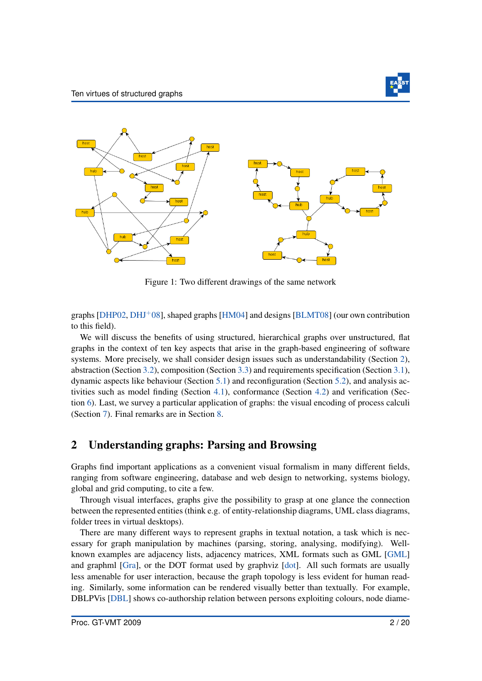

<span id="page-2-1"></span>

Figure 1: Two different drawings of the same network

graphs [\[DHP02,](#page-19-0) [DHJ](#page-19-1)+08], shaped graphs [\[HM04\]](#page-20-1) and designs [\[BLMT08\]](#page-18-0) (our own contribution to this field).

We will discuss the benefits of using structured, hierarchical graphs over unstructured, flat graphs in the context of ten key aspects that arise in the graph-based engineering of software systems. More precisely, we shall consider design issues such as understandability (Section [2\)](#page-2-0), abstraction (Section [3.2\)](#page-6-0), composition (Section [3.3\)](#page-7-0) and requirements specification (Section [3.1\)](#page-3-0), dynamic aspects like behaviour (Section [5.1\)](#page-12-0) and reconfiguration (Section [5.2\)](#page-13-0), and analysis activities such as model finding (Section [4.1\)](#page-9-0), conformance (Section [4.2\)](#page-10-0) and verification (Section [6\)](#page-14-0). Last, we survey a particular application of graphs: the visual encoding of process calculi (Section [7\)](#page-15-0). Final remarks are in Section [8.](#page-17-0)

### <span id="page-2-0"></span>2 Understanding graphs: Parsing and Browsing

Graphs find important applications as a convenient visual formalism in many different fields, ranging from software engineering, database and web design to networking, systems biology, global and grid computing, to cite a few.

Through visual interfaces, graphs give the possibility to grasp at one glance the connection between the represented entities (think e.g. of entity-relationship diagrams, UML class diagrams, folder trees in virtual desktops).

There are many different ways to represent graphs in textual notation, a task which is necessary for graph manipulation by machines (parsing, storing, analysing, modifying). Wellknown examples are adjacency lists, adjacency matrices, XML formats such as GML [\[GML\]](#page-20-2) and graphml [\[Gra\]](#page-20-3), or the DOT format used by graphviz [\[dot\]](#page-19-2). All such formats are usually less amenable for user interaction, because the graph topology is less evident for human reading. Similarly, some information can be rendered visually better than textually. For example, DBLPVis [\[DBL\]](#page-19-3) shows co-authorship relation between persons exploiting colours, node diame-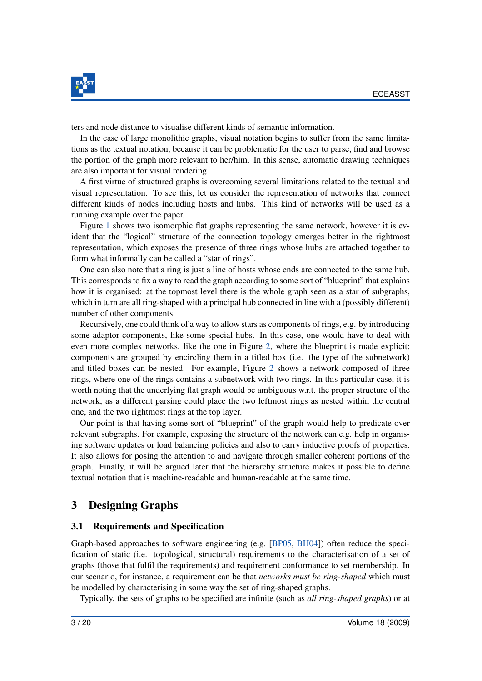

ters and node distance to visualise different kinds of semantic information.

In the case of large monolithic graphs, visual notation begins to suffer from the same limitations as the textual notation, because it can be problematic for the user to parse, find and browse the portion of the graph more relevant to her/him. In this sense, automatic drawing techniques are also important for visual rendering.

A first virtue of structured graphs is overcoming several limitations related to the textual and visual representation. To see this, let us consider the representation of networks that connect different kinds of nodes including hosts and hubs. This kind of networks will be used as a running example over the paper.

Figure [1](#page-2-1) shows two isomorphic flat graphs representing the same network, however it is evident that the "logical" structure of the connection topology emerges better in the rightmost representation, which exposes the presence of three rings whose hubs are attached together to form what informally can be called a "star of rings".

One can also note that a ring is just a line of hosts whose ends are connected to the same hub. This corresponds to fix a way to read the graph according to some sort of "blueprint" that explains how it is organised: at the topmost level there is the whole graph seen as a star of subgraphs, which in turn are all ring-shaped with a principal hub connected in line with a (possibly different) number of other components.

Recursively, one could think of a way to allow stars as components of rings, e.g. by introducing some adaptor components, like some special hubs. In this case, one would have to deal with even more complex networks, like the one in Figure [2,](#page-4-0) where the blueprint is made explicit: components are grouped by encircling them in a titled box (i.e. the type of the subnetwork) and titled boxes can be nested. For example, Figure [2](#page-4-0) shows a network composed of three rings, where one of the rings contains a subnetwork with two rings. In this particular case, it is worth noting that the underlying flat graph would be ambiguous w.r.t. the proper structure of the network, as a different parsing could place the two leftmost rings as nested within the central one, and the two rightmost rings at the top layer.

Our point is that having some sort of "blueprint" of the graph would help to predicate over relevant subgraphs. For example, exposing the structure of the network can e.g. help in organising software updates or load balancing policies and also to carry inductive proofs of properties. It also allows for posing the attention to and navigate through smaller coherent portions of the graph. Finally, it will be argued later that the hierarchy structure makes it possible to define textual notation that is machine-readable and human-readable at the same time.

# 3 Designing Graphs

#### <span id="page-3-0"></span>3.1 Requirements and Specification

Graph-based approaches to software engineering (e.g. [\[BP05,](#page-18-1) [BH04\]](#page-18-2)) often reduce the specification of static (i.e. topological, structural) requirements to the characterisation of a set of graphs (those that fulfil the requirements) and requirement conformance to set membership. In our scenario, for instance, a requirement can be that *networks must be ring-shaped* which must be modelled by characterising in some way the set of ring-shaped graphs.

Typically, the sets of graphs to be specified are infinite (such as *all ring-shaped graphs*) or at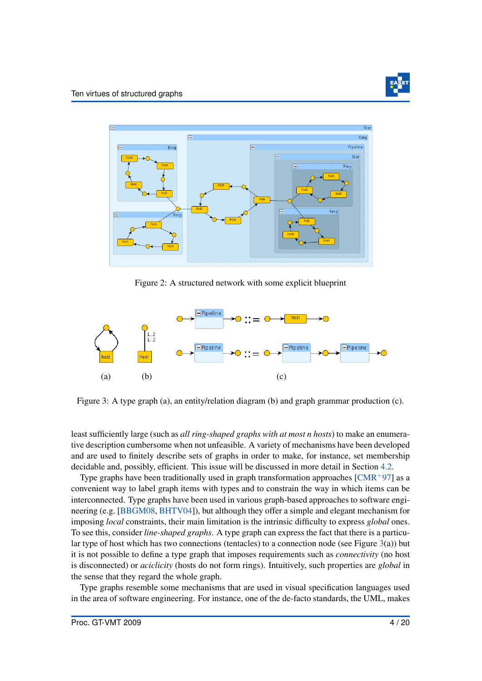<span id="page-4-0"></span>

Figure 2: A structured network with some explicit blueprint

<span id="page-4-1"></span>

Figure 3: A type graph (a), an entity/relation diagram (b) and graph grammar production (c).

least sufficiently large (such as *all ring-shaped graphs with at most n hosts*) to make an enumerative description cumbersome when not unfeasible. A variety of mechanisms have been developed and are used to finitely describe sets of graphs in order to make, for instance, set membership decidable and, possibly, efficient. This issue will be discussed in more detail in Section [4.2.](#page-10-0)

Type graphs have been traditionally used in graph transformation approaches  $[CMR+97]$  $[CMR+97]$  as a convenient way to label graph items with types and to constrain the way in which items can be interconnected. Type graphs have been used in various graph-based approaches to software engineering (e.g. [\[BBGM08,](#page-18-3) [BHTV04\]](#page-18-4)), but although they offer a simple and elegant mechanism for imposing *local* constraints, their main limitation is the intrinsic difficulty to express *global* ones. To see this, consider *line-shaped graphs*. A type graph can express the fact that there is a particular type of host which has two connections (tentacles) to a connection node (see Figure  $3(a)$  $3(a)$ ) but it is not possible to define a type graph that imposes requirements such as *connectivity* (no host is disconnected) or *aciclicity* (hosts do not form rings). Intuitively, such properties are *global* in the sense that they regard the whole graph.

Type graphs resemble some mechanisms that are used in visual specification languages used in the area of software engineering. For instance, one of the de-facto standards, the UML, makes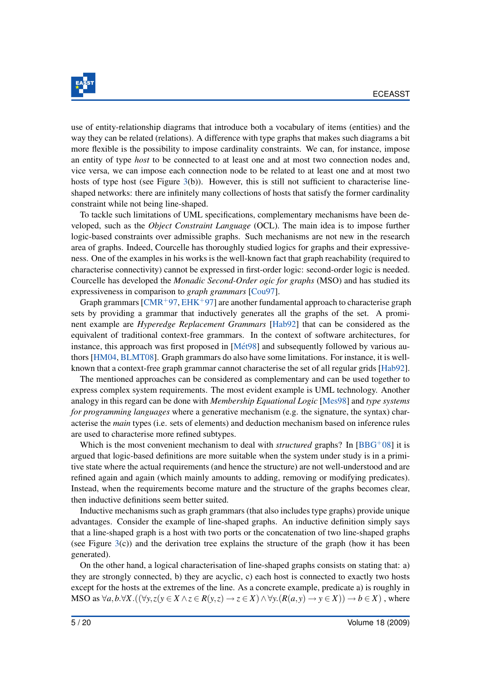

use of entity-relationship diagrams that introduce both a vocabulary of items (entities) and the way they can be related (relations). A difference with type graphs that makes such diagrams a bit more flexible is the possibility to impose cardinality constraints. We can, for instance, impose an entity of type *host* to be connected to at least one and at most two connection nodes and, vice versa, we can impose each connection node to be related to at least one and at most two hosts of type host (see Figure  $3(b)$  $3(b)$ ). However, this is still not sufficient to characterise lineshaped networks: there are infinitely many collections of hosts that satisfy the former cardinality constraint while not being line-shaped.

To tackle such limitations of UML specifications, complementary mechanisms have been developed, such as the *Object Constraint Language* (OCL). The main idea is to impose further logic-based constraints over admissible graphs. Such mechanisms are not new in the research area of graphs. Indeed, Courcelle has thoroughly studied logics for graphs and their expressiveness. One of the examples in his works is the well-known fact that graph reachability (required to characterise connectivity) cannot be expressed in first-order logic: second-order logic is needed. Courcelle has developed the *Monadic Second-Order ogic for graphs* (MSO) and has studied its expressiveness in comparison to *graph grammars* [\[Cou97\]](#page-19-5).

Graph grammars  $\text{ICMR}^+$ 97, [EHK](#page-19-6)<sup>+</sup>97] are another fundamental approach to characterise graph sets by providing a grammar that inductively generates all the graphs of the set. A prominent example are *Hyperedge Replacement Grammars* [\[Hab92\]](#page-20-4) that can be considered as the equivalent of traditional context-free grammars. In the context of software architectures, for instance, this approach was first proposed in [Mét98] and subsequently followed by various authors [\[HM04,](#page-20-1) [BLMT08\]](#page-18-0). Graph grammars do also have some limitations. For instance, it is wellknown that a context-free graph grammar cannot characterise the set of all regular grids [\[Hab92\]](#page-20-4).

The mentioned approaches can be considered as complementary and can be used together to express complex system requirements. The most evident example is UML technology. Another analogy in this regard can be done with *Membership Equational Logic* [\[Mes98\]](#page-20-6) and *type systems for programming languages* where a generative mechanism (e.g. the signature, the syntax) characterise the *main* types (i.e. sets of elements) and deduction mechanism based on inference rules are used to characterise more refined subtypes.

Which is the most convenient mechanism to deal with *structured* graphs? In  $[BBG^+08]$  $[BBG^+08]$  it is argued that logic-based definitions are more suitable when the system under study is in a primitive state where the actual requirements (and hence the structure) are not well-understood and are refined again and again (which mainly amounts to adding, removing or modifying predicates). Instead, when the requirements become mature and the structure of the graphs becomes clear, then inductive definitions seem better suited.

Inductive mechanisms such as graph grammars (that also includes type graphs) provide unique advantages. Consider the example of line-shaped graphs. An inductive definition simply says that a line-shaped graph is a host with two ports or the concatenation of two line-shaped graphs (see Figure [3\(](#page-4-1)c)) and the derivation tree explains the structure of the graph (how it has been generated).

On the other hand, a logical characterisation of line-shaped graphs consists on stating that: a) they are strongly connected, b) they are acyclic, c) each host is connected to exactly two hosts except for the hosts at the extremes of the line. As a concrete example, predicate a) is roughly in MSO as  $\forall a, b. \forall X. ((\forall y, z(y \in X \land z \in R(y,z) \rightarrow z \in X) \land \forall y. (R(a,y) \rightarrow y \in X)) \rightarrow b \in X)$ , where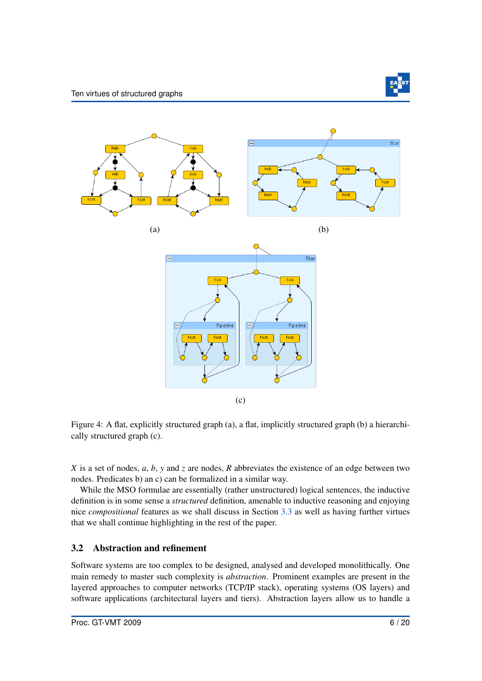

<span id="page-6-1"></span>

Figure 4: A flat, explicitly structured graph (a), a flat, implicitly structured graph (b) a hierarchically structured graph (c).

*X* is a set of nodes, *a*, *b*, *y* and *z* are nodes, *R* abbreviates the existence of an edge between two nodes. Predicates b) an c) can be formalized in a similar way.

While the MSO formulae are essentially (rather unstructured) logical sentences, the inductive definition is in some sense a *structured* definition, amenable to inductive reasoning and enjoying nice *compositional* features as we shall discuss in Section [3.3](#page-7-0) as well as having further virtues that we shall continue highlighting in the rest of the paper.

### <span id="page-6-0"></span>3.2 Abstraction and refinement

Software systems are too complex to be designed, analysed and developed monolithically. One main remedy to master such complexity is *abstraction*. Prominent examples are present in the layered approaches to computer networks (TCP/IP stack), operating systems (OS layers) and software applications (architectural layers and tiers). Abstraction layers allow us to handle a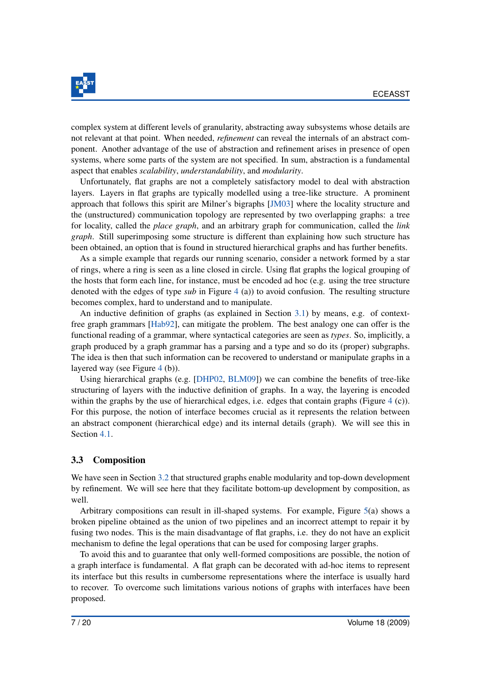

complex system at different levels of granularity, abstracting away subsystems whose details are not relevant at that point. When needed, *refinement* can reveal the internals of an abstract component. Another advantage of the use of abstraction and refinement arises in presence of open systems, where some parts of the system are not specified. In sum, abstraction is a fundamental aspect that enables *scalability*, *understandability*, and *modularity*.

Unfortunately, flat graphs are not a completely satisfactory model to deal with abstraction layers. Layers in flat graphs are typically modelled using a tree-like structure. A prominent approach that follows this spirit are Milner's bigraphs [\[JM03\]](#page-20-0) where the locality structure and the (unstructured) communication topology are represented by two overlapping graphs: a tree for locality, called the *place graph*, and an arbitrary graph for communication, called the *link graph*. Still superimposing some structure is different than explaining how such structure has been obtained, an option that is found in structured hierarchical graphs and has further benefits.

As a simple example that regards our running scenario, consider a network formed by a star of rings, where a ring is seen as a line closed in circle. Using flat graphs the logical grouping of the hosts that form each line, for instance, must be encoded ad hoc (e.g. using the tree structure denoted with the edges of type *sub* in Figure [4](#page-6-1) (a)) to avoid confusion. The resulting structure becomes complex, hard to understand and to manipulate.

An inductive definition of graphs (as explained in Section [3.1\)](#page-3-0) by means, e.g. of contextfree graph grammars [\[Hab92\]](#page-20-4), can mitigate the problem. The best analogy one can offer is the functional reading of a grammar, where syntactical categories are seen as *types*. So, implicitly, a graph produced by a graph grammar has a parsing and a type and so do its (proper) subgraphs. The idea is then that such information can be recovered to understand or manipulate graphs in a layered way (see Figure [4](#page-6-1) (b)).

Using hierarchical graphs (e.g.  $[DHP02, BLM09]$  $[DHP02, BLM09]$  $[DHP02, BLM09]$ ) we can combine the benefits of tree-like structuring of layers with the inductive definition of graphs. In a way, the layering is encoded within the graphs by the use of hierarchical edges, i.e. edges that contain graphs (Figure [4](#page-6-1) (c)). For this purpose, the notion of interface becomes crucial as it represents the relation between an abstract component (hierarchical edge) and its internal details (graph). We will see this in Section [4.1.](#page-9-0)

#### <span id="page-7-0"></span>3.3 Composition

We have seen in Section [3.2](#page-6-0) that structured graphs enable modularity and top-down development by refinement. We will see here that they facilitate bottom-up development by composition, as well.

Arbitrary compositions can result in ill-shaped systems. For example, Figure [5\(](#page-8-0)a) shows a broken pipeline obtained as the union of two pipelines and an incorrect attempt to repair it by fusing two nodes. This is the main disadvantage of flat graphs, i.e. they do not have an explicit mechanism to define the legal operations that can be used for composing larger graphs.

To avoid this and to guarantee that only well-formed compositions are possible, the notion of a graph interface is fundamental. A flat graph can be decorated with ad-hoc items to represent its interface but this results in cumbersome representations where the interface is usually hard to recover. To overcome such limitations various notions of graphs with interfaces have been proposed.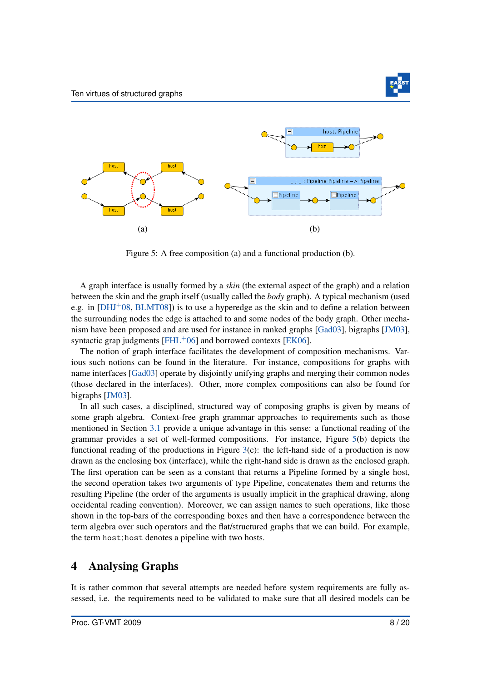

<span id="page-8-0"></span>

Figure 5: A free composition (a) and a functional production (b).

A graph interface is usually formed by a *skin* (the external aspect of the graph) and a relation between the skin and the graph itself (usually called the *body* graph). A typical mechanism (used e.g. in  $[DHJ^+08, BLMT08]$  $[DHJ^+08, BLMT08]$  $[DHJ^+08, BLMT08]$  is to use a hyperedge as the skin and to define a relation between the surrounding nodes the edge is attached to and some nodes of the body graph. Other mechanism have been proposed and are used for instance in ranked graphs [\[Gad03\]](#page-19-7), bigraphs [\[JM03\]](#page-20-0), syntactic grap judgments  $[FHL<sup>+</sup>06]$  $[FHL<sup>+</sup>06]$  and borrowed contexts  $[EK06]$ .

The notion of graph interface facilitates the development of composition mechanisms. Various such notions can be found in the literature. For instance, compositions for graphs with name interfaces [\[Gad03\]](#page-19-7) operate by disjointly unifying graphs and merging their common nodes (those declared in the interfaces). Other, more complex compositions can also be found for bigraphs [\[JM03\]](#page-20-0).

In all such cases, a disciplined, structured way of composing graphs is given by means of some graph algebra. Context-free graph grammar approaches to requirements such as those mentioned in Section [3.1](#page-3-0) provide a unique advantage in this sense: a functional reading of the grammar provides a set of well-formed compositions. For instance, Figure [5\(](#page-8-0)b) depicts the functional reading of the productions in Figure  $3(c)$  $3(c)$ : the left-hand side of a production is now drawn as the enclosing box (interface), while the right-hand side is drawn as the enclosed graph. The first operation can be seen as a constant that returns a Pipeline formed by a single host, the second operation takes two arguments of type Pipeline, concatenates them and returns the resulting Pipeline (the order of the arguments is usually implicit in the graphical drawing, along occidental reading convention). Moreover, we can assign names to such operations, like those shown in the top-bars of the corresponding boxes and then have a correspondence between the term algebra over such operators and the flat/structured graphs that we can build. For example, the term host; host denotes a pipeline with two hosts.

# 4 Analysing Graphs

It is rather common that several attempts are needed before system requirements are fully assessed, i.e. the requirements need to be validated to make sure that all desired models can be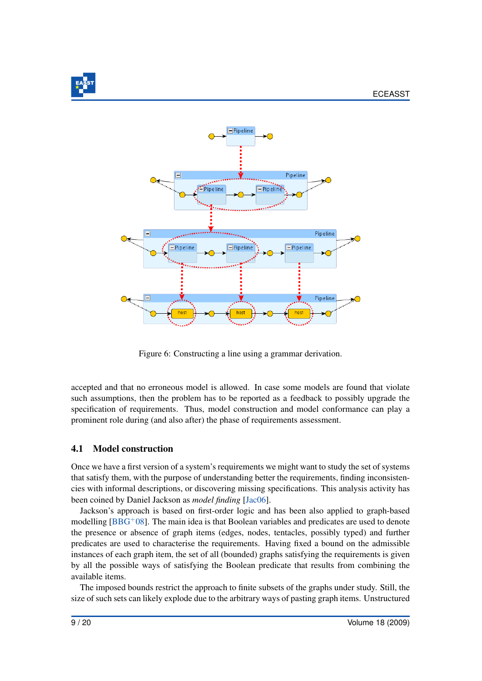



Figure 6: Constructing a line using a grammar derivation.

accepted and that no erroneous model is allowed. In case some models are found that violate such assumptions, then the problem has to be reported as a feedback to possibly upgrade the specification of requirements. Thus, model construction and model conformance can play a prominent role during (and also after) the phase of requirements assessment.

### <span id="page-9-0"></span>4.1 Model construction

Once we have a first version of a system's requirements we might want to study the set of systems that satisfy them, with the purpose of understanding better the requirements, finding inconsistencies with informal descriptions, or discovering missing specifications. This analysis activity has been coined by Daniel Jackson as *model finding* [\[Jac06\]](#page-20-7).

Jackson's approach is based on first-order logic and has been also applied to graph-based modelling  $[BBG<sup>+</sup>08]$  $[BBG<sup>+</sup>08]$ . The main idea is that Boolean variables and predicates are used to denote the presence or absence of graph items (edges, nodes, tentacles, possibly typed) and further predicates are used to characterise the requirements. Having fixed a bound on the admissible instances of each graph item, the set of all (bounded) graphs satisfying the requirements is given by all the possible ways of satisfying the Boolean predicate that results from combining the available items.

The imposed bounds restrict the approach to finite subsets of the graphs under study. Still, the size of such sets can likely explode due to the arbitrary ways of pasting graph items. Unstructured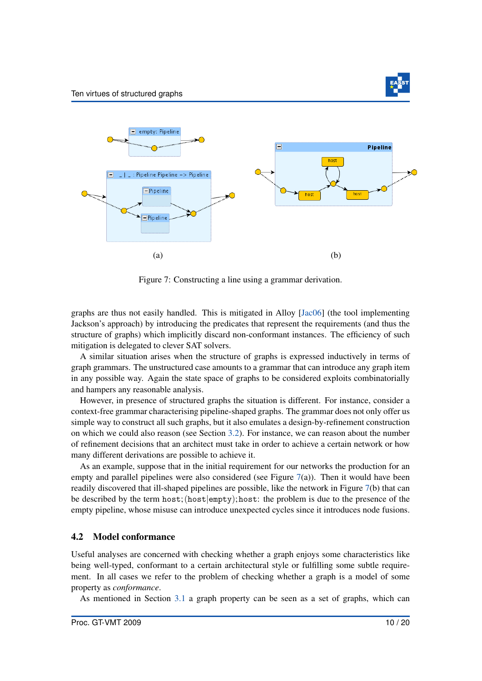

<span id="page-10-1"></span>

Figure 7: Constructing a line using a grammar derivation.

graphs are thus not easily handled. This is mitigated in Alloy [\[Jac06\]](#page-20-7) (the tool implementing Jackson's approach) by introducing the predicates that represent the requirements (and thus the structure of graphs) which implicitly discard non-conformant instances. The efficiency of such mitigation is delegated to clever SAT solvers.

A similar situation arises when the structure of graphs is expressed inductively in terms of graph grammars. The unstructured case amounts to a grammar that can introduce any graph item in any possible way. Again the state space of graphs to be considered exploits combinatorially and hampers any reasonable analysis.

However, in presence of structured graphs the situation is different. For instance, consider a context-free grammar characterising pipeline-shaped graphs. The grammar does not only offer us simple way to construct all such graphs, but it also emulates a design-by-refinement construction on which we could also reason (see Section [3.2\)](#page-6-0). For instance, we can reason about the number of refinement decisions that an architect must take in order to achieve a certain network or how many different derivations are possible to achieve it.

As an example, suppose that in the initial requirement for our networks the production for an empty and parallel pipelines were also considered (see Figure  $7(a)$  $7(a)$ ). Then it would have been readily discovered that ill-shaped pipelines are possible, like the network in Figure [7\(](#page-10-1)b) that can be described by the term host; (host  $|$ empty); host: the problem is due to the presence of the empty pipeline, whose misuse can introduce unexpected cycles since it introduces node fusions.

#### <span id="page-10-0"></span>4.2 Model conformance

Useful analyses are concerned with checking whether a graph enjoys some characteristics like being well-typed, conformant to a certain architectural style or fulfilling some subtle requirement. In all cases we refer to the problem of checking whether a graph is a model of some property as *conformance*.

As mentioned in Section [3.1](#page-3-0) a graph property can be seen as a set of graphs, which can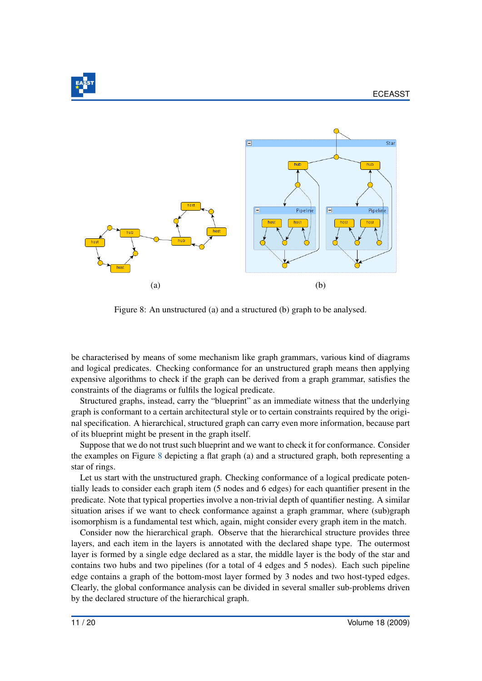<span id="page-11-0"></span>

Figure 8: An unstructured (a) and a structured (b) graph to be analysed.

be characterised by means of some mechanism like graph grammars, various kind of diagrams and logical predicates. Checking conformance for an unstructured graph means then applying expensive algorithms to check if the graph can be derived from a graph grammar, satisfies the constraints of the diagrams or fulfils the logical predicate.

Structured graphs, instead, carry the "blueprint" as an immediate witness that the underlying graph is conformant to a certain architectural style or to certain constraints required by the original specification. A hierarchical, structured graph can carry even more information, because part of its blueprint might be present in the graph itself.

Suppose that we do not trust such blueprint and we want to check it for conformance. Consider the examples on Figure [8](#page-11-0) depicting a flat graph (a) and a structured graph, both representing a star of rings.

Let us start with the unstructured graph. Checking conformance of a logical predicate potentially leads to consider each graph item (5 nodes and 6 edges) for each quantifier present in the predicate. Note that typical properties involve a non-trivial depth of quantifier nesting. A similar situation arises if we want to check conformance against a graph grammar, where (sub)graph isomorphism is a fundamental test which, again, might consider every graph item in the match.

Consider now the hierarchical graph. Observe that the hierarchical structure provides three layers, and each item in the layers is annotated with the declared shape type. The outermost layer is formed by a single edge declared as a star, the middle layer is the body of the star and contains two hubs and two pipelines (for a total of 4 edges and 5 nodes). Each such pipeline edge contains a graph of the bottom-most layer formed by 3 nodes and two host-typed edges. Clearly, the global conformance analysis can be divided in several smaller sub-problems driven by the declared structure of the hierarchical graph.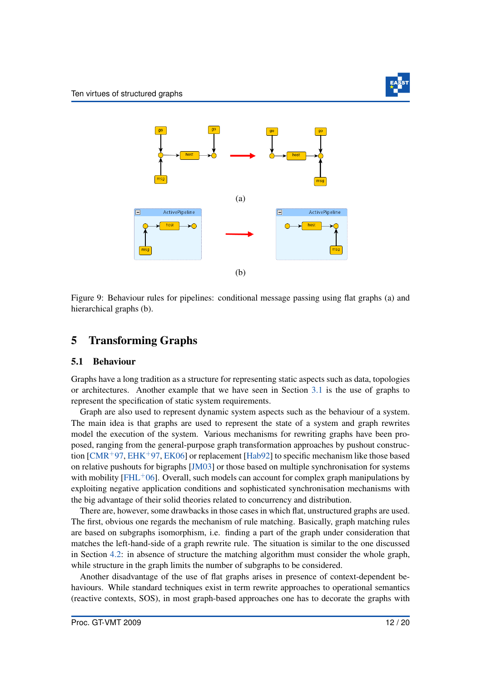

<span id="page-12-1"></span>

Figure 9: Behaviour rules for pipelines: conditional message passing using flat graphs (a) and hierarchical graphs (b).

### 5 Transforming Graphs

#### <span id="page-12-0"></span>5.1 Behaviour

Graphs have a long tradition as a structure for representing static aspects such as data, topologies or architectures. Another example that we have seen in Section [3.1](#page-3-0) is the use of graphs to represent the specification of static system requirements.

Graph are also used to represent dynamic system aspects such as the behaviour of a system. The main idea is that graphs are used to represent the state of a system and graph rewrites model the execution of the system. Various mechanisms for rewriting graphs have been proposed, ranging from the general-purpose graph transformation approaches by pushout construction  $\text{ICMR}^+$ 97, [EHK](#page-19-6)<sup>+</sup>97, [EK06\]](#page-19-9) or replacement [\[Hab92\]](#page-20-4) to specific mechanism like those based on relative pushouts for bigraphs [\[JM03\]](#page-20-0) or those based on multiple synchronisation for systems with mobility  $[FHL^+06]$  $[FHL^+06]$ . Overall, such models can account for complex graph manipulations by exploiting negative application conditions and sophisticated synchronisation mechanisms with the big advantage of their solid theories related to concurrency and distribution.

There are, however, some drawbacks in those cases in which flat, unstructured graphs are used. The first, obvious one regards the mechanism of rule matching. Basically, graph matching rules are based on subgraphs isomorphism, i.e. finding a part of the graph under consideration that matches the left-hand-side of a graph rewrite rule. The situation is similar to the one discussed in Section [4.2:](#page-10-0) in absence of structure the matching algorithm must consider the whole graph, while structure in the graph limits the number of subgraphs to be considered.

Another disadvantage of the use of flat graphs arises in presence of context-dependent behaviours. While standard techniques exist in term rewrite approaches to operational semantics (reactive contexts, SOS), in most graph-based approaches one has to decorate the graphs with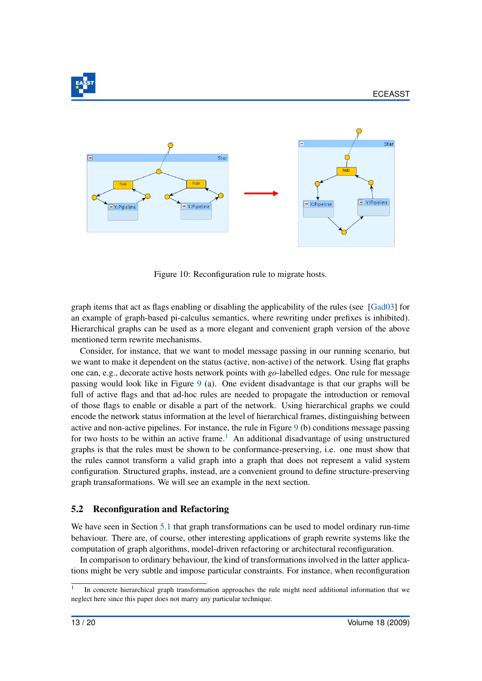

<span id="page-13-2"></span>

Figure 10: Reconfiguration rule to migrate hosts.

graph items that act as flags enabling or disabling the applicability of the rules (see [\[Gad03\]](#page-19-7) for an example of graph-based pi-calculus semantics, where rewriting under prefixes is inhibited). Hierarchical graphs can be used as a more elegant and convenient graph version of the above mentioned term rewrite mechanisms.

Consider, for instance, that we want to model message passing in our running scenario, but we want to make it dependent on the status (active, non-active) of the network. Using flat graphs one can, e.g., decorate active hosts network points with *go*-labelled edges. One rule for message passing would look like in Figure [9](#page-12-1) (a). One evident disadvantage is that our graphs will be full of active flags and that ad-hoc rules are needed to propagate the introduction or removal of those flags to enable or disable a part of the network. Using hierarchical graphs we could encode the network status information at the level of hierarchical frames, distinguishing between active and non-active pipelines. For instance, the rule in Figure [9](#page-12-1) (b) conditions message passing for two hosts to be within an active frame.<sup>[1](#page-13-1)</sup> An additional disadvantage of using unstructured graphs is that the rules must be shown to be conformance-preserving, i.e. one must show that the rules cannot transform a valid graph into a graph that does not represent a valid system configuration. Structured graphs, instead, are a convenient ground to define structure-preserving graph transaformations. We will see an example in the next section.

#### <span id="page-13-0"></span>5.2 Reconfiguration and Refactoring

We have seen in Section [5.1](#page-12-0) that graph transformations can be used to model ordinary run-time behaviour. There are, of course, other interesting applications of graph rewrite systems like the computation of graph algorithms, model-driven refactoring or architectural reconfiguration.

In comparison to ordinary behaviour, the kind of transformations involved in the latter applications might be very subtle and impose particular constraints. For instance, when reconfiguration

<span id="page-13-1"></span><sup>1</sup> In concrete hierarchical graph transformation approaches the rule might need additional information that we neglect here since this paper does not marry any particular technique.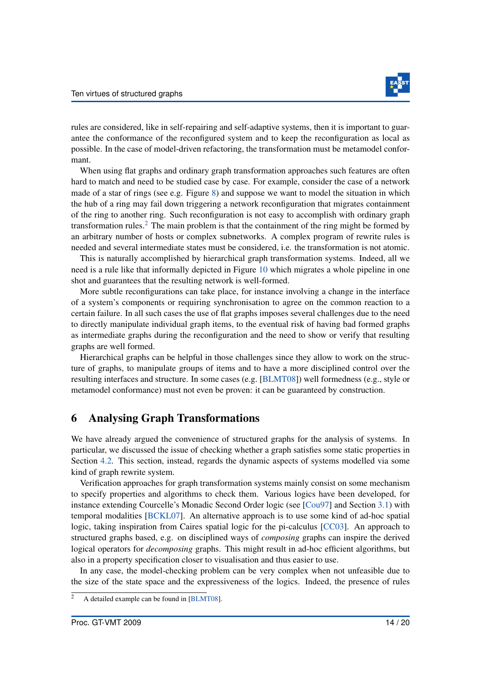

rules are considered, like in self-repairing and self-adaptive systems, then it is important to guarantee the conformance of the reconfigured system and to keep the reconfiguration as local as possible. In the case of model-driven refactoring, the transformation must be metamodel conformant.

When using flat graphs and ordinary graph transformation approaches such features are often hard to match and need to be studied case by case. For example, consider the case of a network made of a star of rings (see e.g. Figure [8\)](#page-11-0) and suppose we want to model the situation in which the hub of a ring may fail down triggering a network reconfiguration that migrates containment of the ring to another ring. Such reconfiguration is not easy to accomplish with ordinary graph transformation rules.<sup>[2](#page-14-1)</sup> The main problem is that the containment of the ring might be formed by an arbitrary number of hosts or complex subnetworks. A complex program of rewrite rules is needed and several intermediate states must be considered, i.e. the transformation is not atomic.

This is naturally accomplished by hierarchical graph transformation systems. Indeed, all we need is a rule like that informally depicted in Figure [10](#page-13-2) which migrates a whole pipeline in one shot and guarantees that the resulting network is well-formed.

More subtle reconfigurations can take place, for instance involving a change in the interface of a system's components or requiring synchronisation to agree on the common reaction to a certain failure. In all such cases the use of flat graphs imposes several challenges due to the need to directly manipulate individual graph items, to the eventual risk of having bad formed graphs as intermediate graphs during the reconfiguration and the need to show or verify that resulting graphs are well formed.

Hierarchical graphs can be helpful in those challenges since they allow to work on the structure of graphs, to manipulate groups of items and to have a more disciplined control over the resulting interfaces and structure. In some cases (e.g. [\[BLMT08\]](#page-18-0)) well formedness (e.g., style or metamodel conformance) must not even be proven: it can be guaranteed by construction.

### <span id="page-14-0"></span>6 Analysing Graph Transformations

We have already argued the convenience of structured graphs for the analysis of systems. In particular, we discussed the issue of checking whether a graph satisfies some static properties in Section [4.2.](#page-10-0) This section, instead, regards the dynamic aspects of systems modelled via some kind of graph rewrite system.

Verification approaches for graph transformation systems mainly consist on some mechanism to specify properties and algorithms to check them. Various logics have been developed, for instance extending Courcelle's Monadic Second Order logic (see [\[Cou97\]](#page-19-5) and Section [3.1\)](#page-3-0) with temporal modalities [\[BCKL07\]](#page-18-7). An alternative approach is to use some kind of ad-hoc spatial logic, taking inspiration from Caires spatial logic for the pi-calculus [\[CC03\]](#page-19-10). An approach to structured graphs based, e.g. on disciplined ways of *composing* graphs can inspire the derived logical operators for *decomposing* graphs. This might result in ad-hoc efficient algorithms, but also in a property specification closer to visualisation and thus easier to use.

In any case, the model-checking problem can be very complex when not unfeasible due to the size of the state space and the expressiveness of the logics. Indeed, the presence of rules

<span id="page-14-1"></span> $\overline{a}$  A detailed example can be found in [\[BLMT08\]](#page-18-0).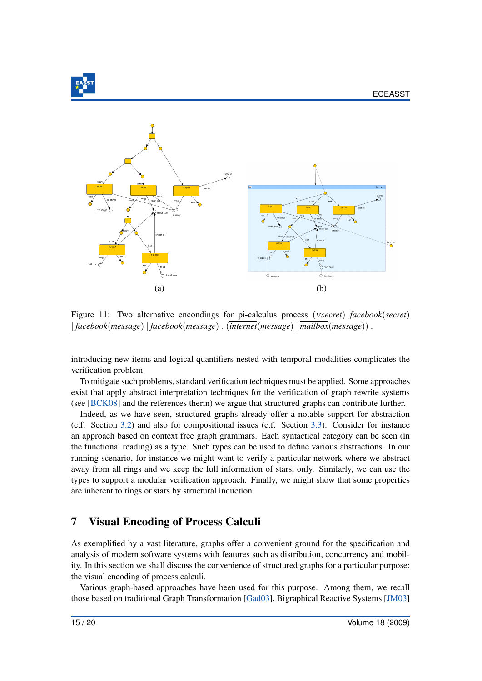

<span id="page-15-1"></span>

Figure 11: Two alternative encondings for pi-calculus process (ν*secret*) *facebook*(*secret*) | *facebook*(*message*) | *facebook*(*message*) . (*internet*(*message*) | *mailbox*(*message*)) .

introducing new items and logical quantifiers nested with temporal modalities complicates the verification problem.

To mitigate such problems, standard verification techniques must be applied. Some approaches exist that apply abstract interpretation techniques for the verification of graph rewrite systems (see [\[BCK08\]](#page-18-8) and the references therin) we argue that structured graphs can contribute further.

Indeed, as we have seen, structured graphs already offer a notable support for abstraction (c.f. Section [3.2\)](#page-6-0) and also for compositional issues (c.f. Section [3.3\)](#page-7-0). Consider for instance an approach based on context free graph grammars. Each syntactical category can be seen (in the functional reading) as a type. Such types can be used to define various abstractions. In our running scenario, for instance we might want to verify a particular network where we abstract away from all rings and we keep the full information of stars, only. Similarly, we can use the types to support a modular verification approach. Finally, we might show that some properties are inherent to rings or stars by structural induction.

### <span id="page-15-0"></span>7 Visual Encoding of Process Calculi

As exemplified by a vast literature, graphs offer a convenient ground for the specification and analysis of modern software systems with features such as distribution, concurrency and mobility. In this section we shall discuss the convenience of structured graphs for a particular purpose: the visual encoding of process calculi.

Various graph-based approaches have been used for this purpose. Among them, we recall those based on traditional Graph Transformation [\[Gad03\]](#page-19-7), Bigraphical Reactive Systems [\[JM03\]](#page-20-0)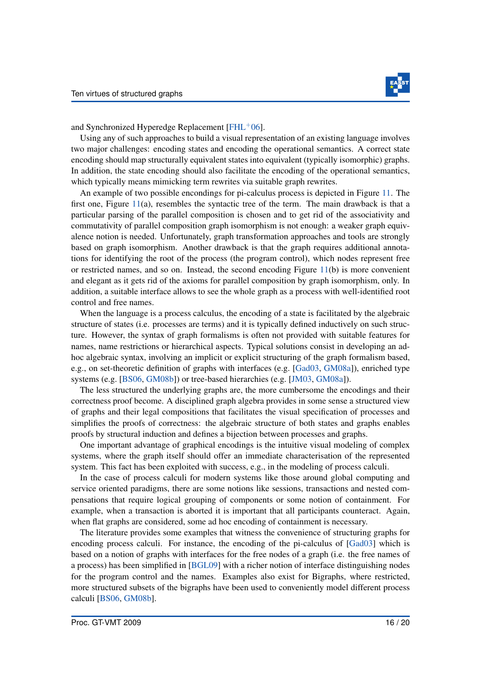

and Synchronized Hyperedge Replacement  $[FHL<sup>+</sup>06]$  $[FHL<sup>+</sup>06]$ .

Using any of such approaches to build a visual representation of an existing language involves two major challenges: encoding states and encoding the operational semantics. A correct state encoding should map structurally equivalent states into equivalent (typically isomorphic) graphs. In addition, the state encoding should also facilitate the encoding of the operational semantics, which typically means mimicking term rewrites via suitable graph rewrites.

An example of two possible encondings for pi-calculus process is depicted in Figure [11.](#page-15-1) The first one, Figure  $11(a)$  $11(a)$ , resembles the syntactic tree of the term. The main drawback is that a particular parsing of the parallel composition is chosen and to get rid of the associativity and commutativity of parallel composition graph isomorphism is not enough: a weaker graph equivalence notion is needed. Unfortunately, graph transformation approaches and tools are strongly based on graph isomorphism. Another drawback is that the graph requires additional annotations for identifying the root of the process (the program control), which nodes represent free or restricted names, and so on. Instead, the second encoding Figure  $11(b)$  $11(b)$  is more convenient and elegant as it gets rid of the axioms for parallel composition by graph isomorphism, only. In addition, a suitable interface allows to see the whole graph as a process with well-identified root control and free names.

When the language is a process calculus, the encoding of a state is facilitated by the algebraic structure of states (i.e. processes are terms) and it is typically defined inductively on such structure. However, the syntax of graph formalisms is often not provided with suitable features for names, name restrictions or hierarchical aspects. Typical solutions consist in developing an adhoc algebraic syntax, involving an implicit or explicit structuring of the graph formalism based, e.g., on set-theoretic definition of graphs with interfaces (e.g. [\[Gad03,](#page-19-7) [GM08a\]](#page-20-8)), enriched type systems (e.g. [\[BS06,](#page-19-11) [GM08b\]](#page-20-9)) or tree-based hierarchies (e.g. [\[JM03,](#page-20-0) [GM08a\]](#page-20-8)).

The less structured the underlying graphs are, the more cumbersome the encodings and their correctness proof become. A disciplined graph algebra provides in some sense a structured view of graphs and their legal compositions that facilitates the visual specification of processes and simplifies the proofs of correctness: the algebraic structure of both states and graphs enables proofs by structural induction and defines a bijection between processes and graphs.

One important advantage of graphical encodings is the intuitive visual modeling of complex systems, where the graph itself should offer an immediate characterisation of the represented system. This fact has been exploited with success, e.g., in the modeling of process calculi.

In the case of process calculi for modern systems like those around global computing and service oriented paradigms, there are some notions like sessions, transactions and nested compensations that require logical grouping of components or some notion of containment. For example, when a transaction is aborted it is important that all participants counteract. Again, when flat graphs are considered, some ad hoc encoding of containment is necessary.

The literature provides some examples that witness the convenience of structuring graphs for encoding process calculi. For instance, the encoding of the pi-calculus of [\[Gad03\]](#page-19-7) which is based on a notion of graphs with interfaces for the free nodes of a graph (i.e. the free names of a process) has been simplified in [\[BGL09\]](#page-18-9) with a richer notion of interface distinguishing nodes for the program control and the names. Examples also exist for Bigraphs, where restricted, more structured subsets of the bigraphs have been used to conveniently model different process calculi [\[BS06,](#page-19-11) [GM08b\]](#page-20-9).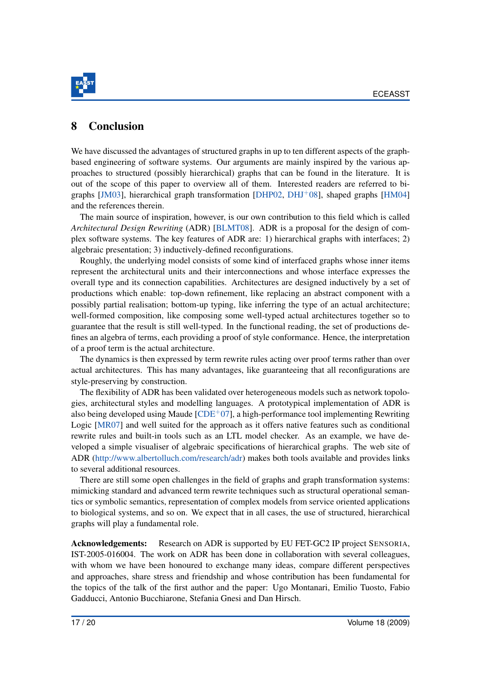

# <span id="page-17-0"></span>8 Conclusion

We have discussed the advantages of structured graphs in up to ten different aspects of the graphbased engineering of software systems. Our arguments are mainly inspired by the various approaches to structured (possibly hierarchical) graphs that can be found in the literature. It is out of the scope of this paper to overview all of them. Interested readers are referred to bi-graphs [\[JM03\]](#page-20-0), hierarchical graph transformation [\[DHP02,](#page-19-0) [DHJ](#page-19-1)+08], shaped graphs [\[HM04\]](#page-20-1) and the references therein.

The main source of inspiration, however, is our own contribution to this field which is called *Architectural Design Rewriting* (ADR) [\[BLMT08\]](#page-18-0). ADR is a proposal for the design of complex software systems. The key features of ADR are: 1) hierarchical graphs with interfaces; 2) algebraic presentation; 3) inductively-defined reconfigurations.

Roughly, the underlying model consists of some kind of interfaced graphs whose inner items represent the architectural units and their interconnections and whose interface expresses the overall type and its connection capabilities. Architectures are designed inductively by a set of productions which enable: top-down refinement, like replacing an abstract component with a possibly partial realisation; bottom-up typing, like inferring the type of an actual architecture; well-formed composition, like composing some well-typed actual architectures together so to guarantee that the result is still well-typed. In the functional reading, the set of productions defines an algebra of terms, each providing a proof of style conformance. Hence, the interpretation of a proof term is the actual architecture.

The dynamics is then expressed by term rewrite rules acting over proof terms rather than over actual architectures. This has many advantages, like guaranteeing that all reconfigurations are style-preserving by construction.

The flexibility of ADR has been validated over heterogeneous models such as network topologies, architectural styles and modelling languages. A prototypical implementation of ADR is also being developed using Maude  $[CDE^+07]$  $[CDE^+07]$ , a high-performance tool implementing Rewriting Logic [\[MR07\]](#page-20-10) and well suited for the approach as it offers native features such as conditional rewrite rules and built-in tools such as an LTL model checker. As an example, we have developed a simple visualiser of algebraic specifications of hierarchical graphs. The web site of ADR [\(http://www.albertolluch.com/research/adr\)](http://www.albertolluch.com/research/adr) makes both tools available and provides links to several additional resources.

There are still some open challenges in the field of graphs and graph transformation systems: mimicking standard and advanced term rewrite techniques such as structural operational semantics or symbolic semantics, representation of complex models from service oriented applications to biological systems, and so on. We expect that in all cases, the use of structured, hierarchical graphs will play a fundamental role.

Acknowledgements: Research on ADR is supported by EU FET-GC2 IP project SENSORIA, IST-2005-016004. The work on ADR has been done in collaboration with several colleagues, with whom we have been honoured to exchange many ideas, compare different perspectives and approaches, share stress and friendship and whose contribution has been fundamental for the topics of the talk of the first author and the paper: Ugo Montanari, Emilio Tuosto, Fabio Gadducci, Antonio Bucchiarone, Stefania Gnesi and Dan Hirsch.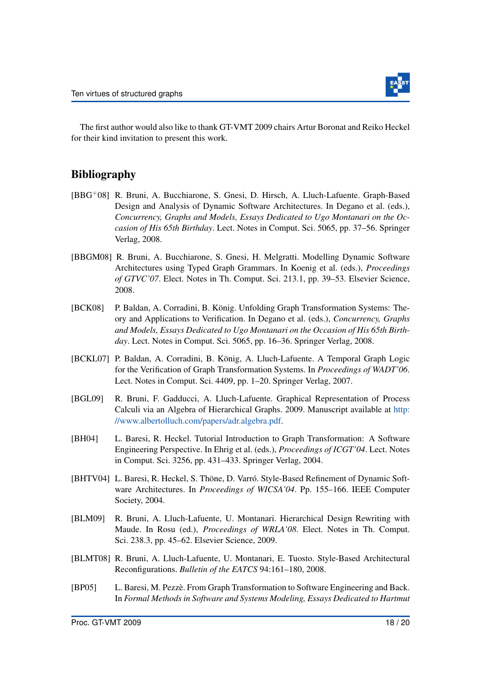

The first author would also like to thank GT-VMT 2009 chairs Artur Boronat and Reiko Heckel for their kind invitation to present this work.

### Bibliography

- <span id="page-18-5"></span>[BBG+08] R. Bruni, A. Bucchiarone, S. Gnesi, D. Hirsch, A. Lluch-Lafuente. Graph-Based Design and Analysis of Dynamic Software Architectures. In Degano et al. (eds.), *Concurrency, Graphs and Models, Essays Dedicated to Ugo Montanari on the Occasion of His 65th Birthday*. Lect. Notes in Comput. Sci. 5065, pp. 37–56. Springer Verlag, 2008.
- <span id="page-18-3"></span>[BBGM08] R. Bruni, A. Bucchiarone, S. Gnesi, H. Melgratti. Modelling Dynamic Software Architectures using Typed Graph Grammars. In Koenig et al. (eds.), *Proceedings of GTVC'07*. Elect. Notes in Th. Comput. Sci. 213.1, pp. 39–53. Elsevier Science, 2008.
- <span id="page-18-8"></span>[BCK08] P. Baldan, A. Corradini, B. König. Unfolding Graph Transformation Systems: Theory and Applications to Verification. In Degano et al. (eds.), *Concurrency, Graphs and Models, Essays Dedicated to Ugo Montanari on the Occasion of His 65th Birthday*. Lect. Notes in Comput. Sci. 5065, pp. 16–36. Springer Verlag, 2008.
- <span id="page-18-7"></span>[BCKL07] P. Baldan, A. Corradini, B. König, A. Lluch-Lafuente. A Temporal Graph Logic for the Verification of Graph Transformation Systems. In *Proceedings of WADT'06*. Lect. Notes in Comput. Sci. 4409, pp. 1–20. Springer Verlag, 2007.
- <span id="page-18-9"></span>[BGL09] R. Bruni, F. Gadducci, A. Lluch-Lafuente. Graphical Representation of Process Calculi via an Algebra of Hierarchical Graphs. 2009. Manuscript available at [http:](http://www.albertolluch.com/papers/adr.algebra.pdf) [//www.albertolluch.com/papers/adr.algebra.pdf.](http://www.albertolluch.com/papers/adr.algebra.pdf)
- <span id="page-18-2"></span>[BH04] L. Baresi, R. Heckel. Tutorial Introduction to Graph Transformation: A Software Engineering Perspective. In Ehrig et al. (eds.), *Proceedings of ICGT'04*. Lect. Notes in Comput. Sci. 3256, pp. 431–433. Springer Verlag, 2004.
- <span id="page-18-4"></span>[BHTV04] L. Baresi, R. Heckel, S. Thöne, D. Varró. Style-Based Refinement of Dynamic Software Architectures. In *Proceedings of WICSA'04*. Pp. 155–166. IEEE Computer Society, 2004.
- <span id="page-18-6"></span>[BLM09] R. Bruni, A. Lluch-Lafuente, U. Montanari. Hierarchical Design Rewriting with Maude. In Rosu (ed.), *Proceedings of WRLA'08*. Elect. Notes in Th. Comput. Sci. 238.3, pp. 45–62. Elsevier Science, 2009.
- <span id="page-18-0"></span>[BLMT08] R. Bruni, A. Lluch-Lafuente, U. Montanari, E. Tuosto. Style-Based Architectural Reconfigurations. *Bulletin of the EATCS* 94:161–180, 2008.
- <span id="page-18-1"></span>[BP05] L. Baresi, M. Pezzè. From Graph Transformation to Software Engineering and Back. In *Formal Methods in Software and Systems Modeling, Essays Dedicated to Hartmut*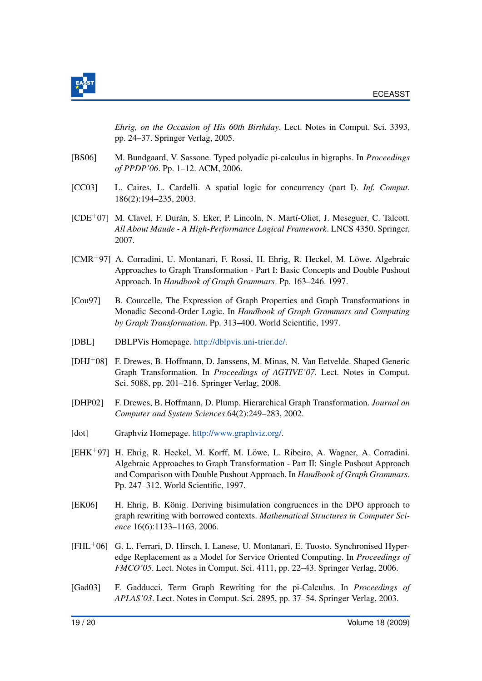

*Ehrig, on the Occasion of His 60th Birthday*. Lect. Notes in Comput. Sci. 3393, pp. 24–37. Springer Verlag, 2005.

- <span id="page-19-11"></span>[BS06] M. Bundgaard, V. Sassone. Typed polyadic pi-calculus in bigraphs. In *Proceedings of PPDP'06*. Pp. 1–12. ACM, 2006.
- <span id="page-19-10"></span>[CC03] L. Caires, L. Cardelli. A spatial logic for concurrency (part I). *Inf. Comput.* 186(2):194–235, 2003.
- <span id="page-19-12"></span>[CDE<sup>+</sup>07] M. Clavel, F. Durán, S. Eker, P. Lincoln, N. Martí-Oliet, J. Meseguer, C. Talcott. *All About Maude - A High-Performance Logical Framework*. LNCS 4350. Springer, 2007.
- <span id="page-19-4"></span>[CMR<sup>+97]</sup> A. Corradini, U. Montanari, F. Rossi, H. Ehrig, R. Heckel, M. Löwe. Algebraic Approaches to Graph Transformation - Part I: Basic Concepts and Double Pushout Approach. In *Handbook of Graph Grammars*. Pp. 163–246. 1997.
- <span id="page-19-5"></span>[Cou97] B. Courcelle. The Expression of Graph Properties and Graph Transformations in Monadic Second-Order Logic. In *Handbook of Graph Grammars and Computing by Graph Transformation*. Pp. 313–400. World Scientific, 1997.
- <span id="page-19-3"></span>[DBL] DBLPVis Homepage. [http://dblpvis.uni-trier.de/.](http://dblpvis.uni-trier.de/)
- <span id="page-19-1"></span>[DHJ+08] F. Drewes, B. Hoffmann, D. Janssens, M. Minas, N. Van Eetvelde. Shaped Generic Graph Transformation. In *Proceedings of AGTIVE'07*. Lect. Notes in Comput. Sci. 5088, pp. 201–216. Springer Verlag, 2008.
- <span id="page-19-0"></span>[DHP02] F. Drewes, B. Hoffmann, D. Plump. Hierarchical Graph Transformation. *Journal on Computer and System Sciences* 64(2):249–283, 2002.
- <span id="page-19-2"></span>[dot] Graphviz Homepage. [http://www.graphviz.org/.](http://www.graphviz.org/)
- <span id="page-19-6"></span>[EHK<sup>+</sup>97] H. Ehrig, R. Heckel, M. Korff, M. Löwe, L. Ribeiro, A. Wagner, A. Corradini. Algebraic Approaches to Graph Transformation - Part II: Single Pushout Approach and Comparison with Double Pushout Approach. In *Handbook of Graph Grammars*. Pp. 247–312. World Scientific, 1997.
- <span id="page-19-9"></span>[EK06] H. Ehrig, B. König. Deriving bisimulation congruences in the DPO approach to graph rewriting with borrowed contexts. *Mathematical Structures in Computer Science* 16(6):1133–1163, 2006.
- <span id="page-19-8"></span>[FHL+06] G. L. Ferrari, D. Hirsch, I. Lanese, U. Montanari, E. Tuosto. Synchronised Hyperedge Replacement as a Model for Service Oriented Computing. In *Proceedings of FMCO'05*. Lect. Notes in Comput. Sci. 4111, pp. 22–43. Springer Verlag, 2006.
- <span id="page-19-7"></span>[Gad03] F. Gadducci. Term Graph Rewriting for the pi-Calculus. In *Proceedings of APLAS'03*. Lect. Notes in Comput. Sci. 2895, pp. 37–54. Springer Verlag, 2003.